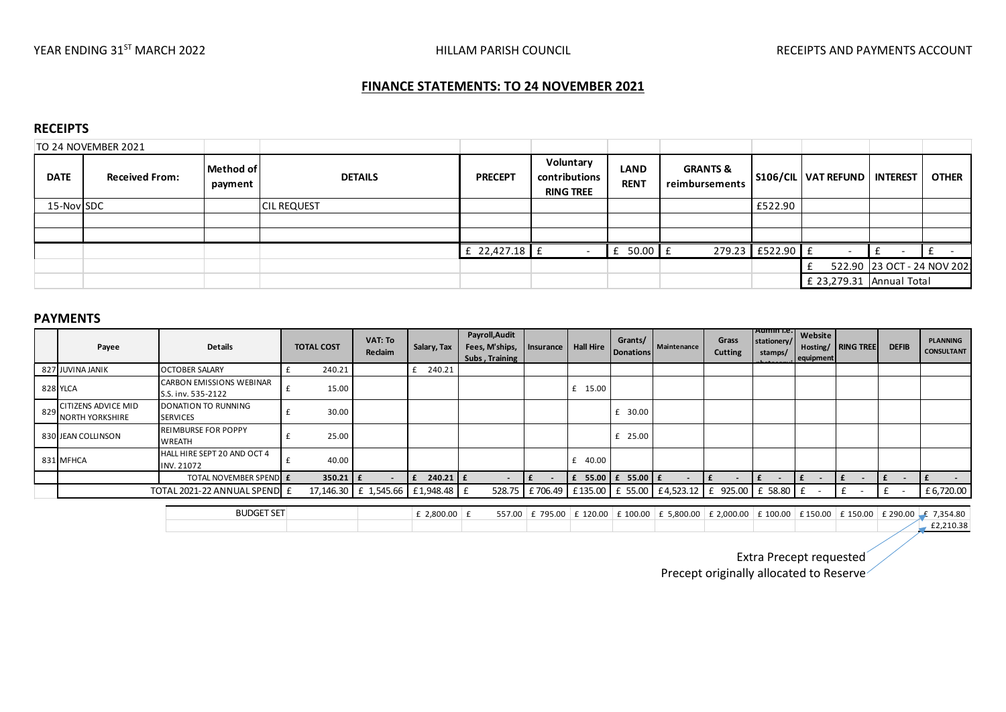# **FINANCE STATEMENTS: TO 24 NOVEMBER 2021**

#### **RECEIPTS**

|                  | TO 24 NOVEMBER 2021   |                      |                    |                 |                                                |                            |                                       |                  |                                  |                            |              |
|------------------|-----------------------|----------------------|--------------------|-----------------|------------------------------------------------|----------------------------|---------------------------------------|------------------|----------------------------------|----------------------------|--------------|
| <b>DATE</b>      | <b>Received From:</b> | Method of<br>payment | <b>DETAILS</b>     | <b>PRECEPT</b>  | Voluntary<br>contributions<br><b>RING TREE</b> | <b>LAND</b><br><b>RENT</b> | <b>GRANTS &amp;</b><br>reimbursements |                  | S106/CIL   VAT REFUND   INTEREST |                            | <b>OTHER</b> |
| 15-Nov SDC       |                       |                      | <b>CIL REQUEST</b> |                 |                                                |                            |                                       | £522.90          |                                  |                            |              |
|                  |                       |                      |                    |                 |                                                |                            |                                       |                  |                                  |                            |              |
|                  |                       |                      |                    |                 |                                                |                            |                                       |                  |                                  |                            |              |
|                  |                       |                      |                    | £ 22,427.18 $E$ |                                                | $f$ 50.00 $f$              |                                       | 279.23 E522.90 E |                                  |                            |              |
|                  |                       |                      |                    |                 |                                                |                            |                                       |                  |                                  | 522.90 23 OCT - 24 NOV 202 |              |
|                  |                       |                      |                    |                 |                                                |                            |                                       |                  | $£$ 23,279.31 Annual Total       |                            |              |
| <b>DAVARENTC</b> |                       |                      |                    |                 |                                                |                            |                                       |                  |                                  |                            |              |

#### **PAYMENTS**

|     | Payee                                                | <b>Details</b>                                        | <b>TOTAL COST</b> | VAT: To<br>Reclaim                | Salary, Tax    | Payroll, Audit<br>Fees, M'ships,<br>Subs, Training |                                | Insurance   Hall Hire   | Grants/<br>Donations | Maintenance                                                                                                                             | Grass<br><b>Cutting</b> | Admin I.e.  <br>stationery/<br>stamps/ | Website<br>equipment | <b>Hosting/</b> RING TREE | <b>DEFIB</b>                  | <b>PLANNING</b><br><b>CONSULTANT</b> |
|-----|------------------------------------------------------|-------------------------------------------------------|-------------------|-----------------------------------|----------------|----------------------------------------------------|--------------------------------|-------------------------|----------------------|-----------------------------------------------------------------------------------------------------------------------------------------|-------------------------|----------------------------------------|----------------------|---------------------------|-------------------------------|--------------------------------------|
|     | 827 JUVINA JANIK                                     | <b>OCTOBER SALARY</b>                                 | 240.21            |                                   | 240.21<br>£    |                                                    |                                |                         |                      |                                                                                                                                         |                         |                                        |                      |                           |                               |                                      |
|     | 828 YLCA                                             | <b>CARBON EMISSIONS WEBINAR</b><br>S.S. inv. 535-2122 | 15.00             |                                   |                |                                                    |                                | £ 15.00                 |                      |                                                                                                                                         |                         |                                        |                      |                           |                               |                                      |
| 829 | <b>CITIZENS ADVICE MID</b><br><b>NORTH YORKSHIRE</b> | DONATION TO RUNNING<br><b>SERVICES</b>                | 30.00             |                                   |                |                                                    |                                |                         | 30.00                |                                                                                                                                         |                         |                                        |                      |                           |                               |                                      |
|     | 830 JEAN COLLINSON                                   | <b>REIMBURSE FOR POPPY</b><br>WREATH                  | 25.00             |                                   |                |                                                    |                                |                         | £ 25.00              |                                                                                                                                         |                         |                                        |                      |                           |                               |                                      |
|     | 831 MFHCA                                            | HALL HIRE SEPT 20 AND OCT 4<br>INV. 21072             | 40.00             |                                   |                |                                                    |                                | £ $40.00$               |                      |                                                                                                                                         |                         |                                        |                      |                           |                               |                                      |
|     |                                                      | <b>TOTAL NOVEMBER SPEND E</b>                         | $350.21$   £      |                                   | 240.21 E<br>E  |                                                    | Ι£<br>$\overline{\phantom{a}}$ | $E$ 55.00 $E$ 55.00 $E$ |                      |                                                                                                                                         |                         | £<br>$\sim$                            | £<br>$\sim$          |                           | E<br>$\overline{\phantom{a}}$ |                                      |
|     | TOTAL 2021-22 ANNUAL SPEND E                         |                                                       |                   | 17,146.30 £ 1,545.66 £ 1,948.48 £ |                |                                                    |                                |                         |                      | 528.75 £706.49 £135.00 £ 55.00 £4,523.12 £ 925.00 £ 58.80 £                                                                             |                         |                                        |                      | $\mathbf{f}$              | £<br>$\sim$                   | £6,720.00                            |
|     |                                                      |                                                       |                   |                                   |                |                                                    |                                |                         |                      |                                                                                                                                         |                         |                                        |                      |                           |                               |                                      |
|     | <b>BUDGET SET</b>                                    |                                                       |                   |                                   | £ 2,800.00 $E$ | 557.00                                             |                                |                         |                      | $\pm$ 795.00 $\pm$ 120.00 $\pm$ 100.00 $\pm$ 5,800.00 $\pm$ 2,000.00 $\pm$ 100.00 $\pm$ 150.00 $\pm$ 150.00 $\pm$ 290.00 $\pm$ 7,354.80 |                         |                                        |                      |                           |                               |                                      |
|     |                                                      |                                                       |                   |                                   |                |                                                    |                                |                         |                      |                                                                                                                                         |                         |                                        |                      |                           | E2,210.38                     |                                      |
|     |                                                      |                                                       |                   |                                   |                |                                                    |                                |                         |                      |                                                                                                                                         |                         |                                        |                      |                           |                               |                                      |

Extra Precept requested

Precept originally allocated to Reserve